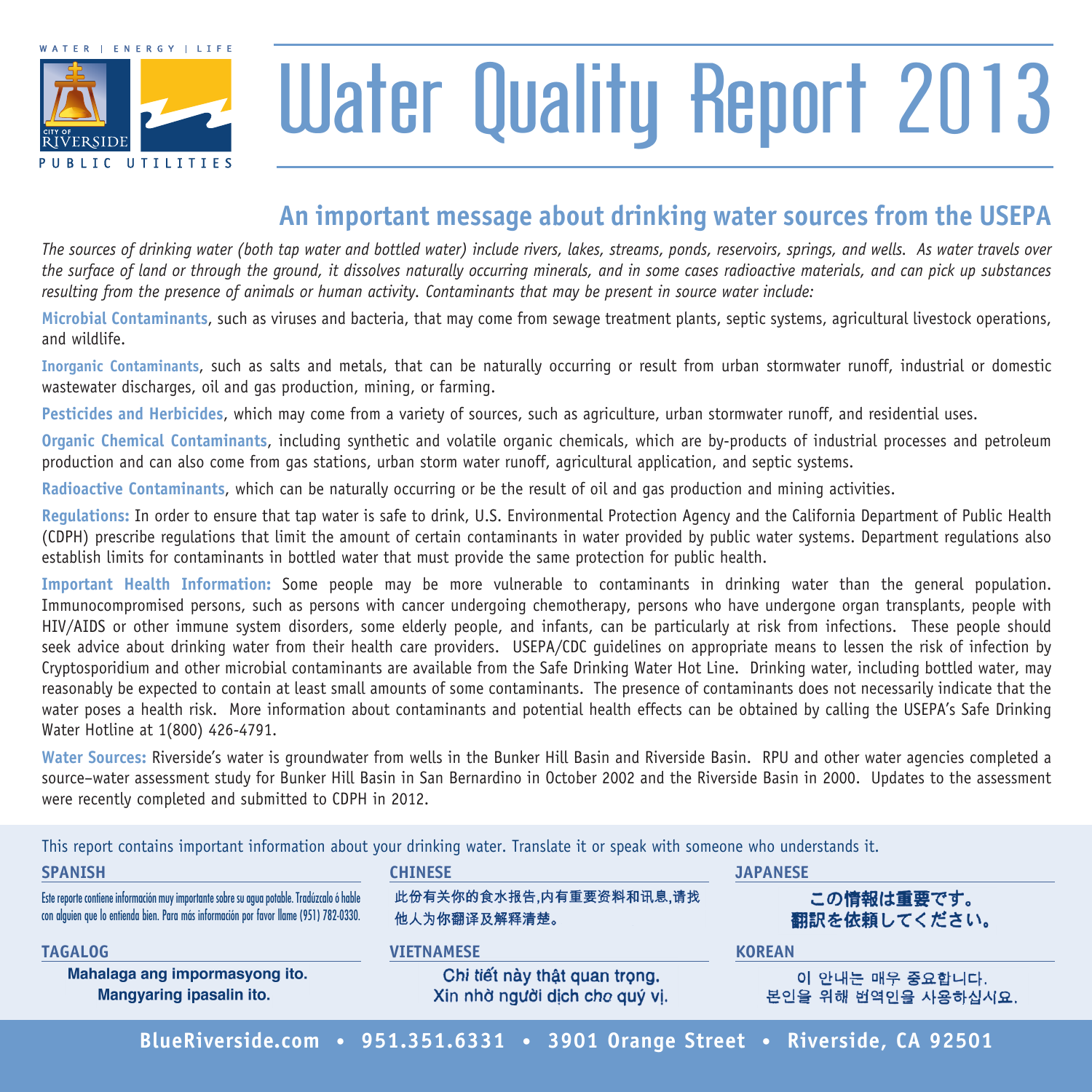

# Water Quality Report 2013

### **An important message about drinking water sources from the USEPA**

*The sources of drinking water (both tap water and bottled water) include rivers, lakes, streams, ponds, reservoirs, springs, and wells. As water travels over the surface of land or through the ground, it dissolves naturally occurring minerals, and in some cases radioactive materials, and can pick up substances resulting from the presence of animals or human activity. Contaminants that may be present in source water include:*

**Microbial Contaminants**, such as viruses and bacteria, that may come from sewage treatment plants, septic systems, agricultural livestock operations, and wildlife.

**Inorganic Contaminants**, such as salts and metals, that can be naturally occurring or result from urban stormwater runoff, industrial or domestic wastewater discharges, oil and gas production, mining, or farming.

**Pesticides and Herbicides**, which may come from a variety of sources, such as agriculture, urban stormwater runoff, and residential uses.

**Organic Chemical Contaminants**, including synthetic and volatile organic chemicals, which are by-products of industrial processes and petroleum production and can also come from gas stations, urban storm water runoff, agricultural application, and septic systems.

**Radioactive Contaminants**, which can be naturally occurring or be the result of oil and gas production and mining activities.

**Regulations:** In order to ensure that tap water is safe to drink, U.S. Environmental Protection Agency and the California Department of Public Health (CDPH) prescribe regulations that limit the amount of certain contaminants in water provided by public water systems. Department regulations also establish limits for contaminants in bottled water that must provide the same protection for public health.

**Important Health Information:** Some people may be more vulnerable to contaminants in drinking water than the general population. Immunocompromised persons, such as persons with cancer undergoing chemotherapy, persons who have undergone organ transplants, people with HIV/AIDS or other immune system disorders, some elderly people, and infants, can be particularly at risk from infections. These people should seek advice about drinking water from their health care providers. USEPA/CDC guidelines on appropriate means to lessen the risk of infection by Cryptosporidium and other microbial contaminants are available from the Safe Drinking Water Hot Line. Drinking water, including bottled water, may reasonably be expected to contain at least small amounts of some contaminants. The presence of contaminants does not necessarily indicate that the water poses a health risk. More information about contaminants and potential health effects can be obtained by calling the USEPA's Safe Drinking Water Hotline at 1(800) 426-4791.

**Water Sources:** Riverside's water is groundwater from wells in the Bunker Hill Basin and Riverside Basin. RPU and other water agencies completed a source–water assessment study for Bunker Hill Basin in San Bernardino in October 2002 and the Riverside Basin in 2000. Updates to the assessment were recently completed and submitted to CDPH in 2012.

**SPANISH CHINESE JAPANESE** 此份有关你的食水报告,内有重要资料和讯息,请找 Este reporte contiene información muy importante sobre su agua potable. Tradúzcalo ó hable この情報は重要です。 con alguien que lo entienda bien. Para más información por favor llame (951) 782-0330. 他人为你翻译及解释清楚。 翻訳を依頼してください。 **TAGALOG VIETNAMESE KOREAN**Mahalaga ang impormasyong ito. Chi tiết này thật quan trọng. 이 안내는 매우 중요합니다. Xin nhờ người dịch cho quý vị. Mangyaring ipasalin ito. 본인을 위해 번역인을 사용하십시요.

This report contains important information about your drinking water. Translate it or speak with someone who understands it.

**BlueRiverside.com • 951.351.6331 • 3901 Orange Street • Riverside, CA 92501**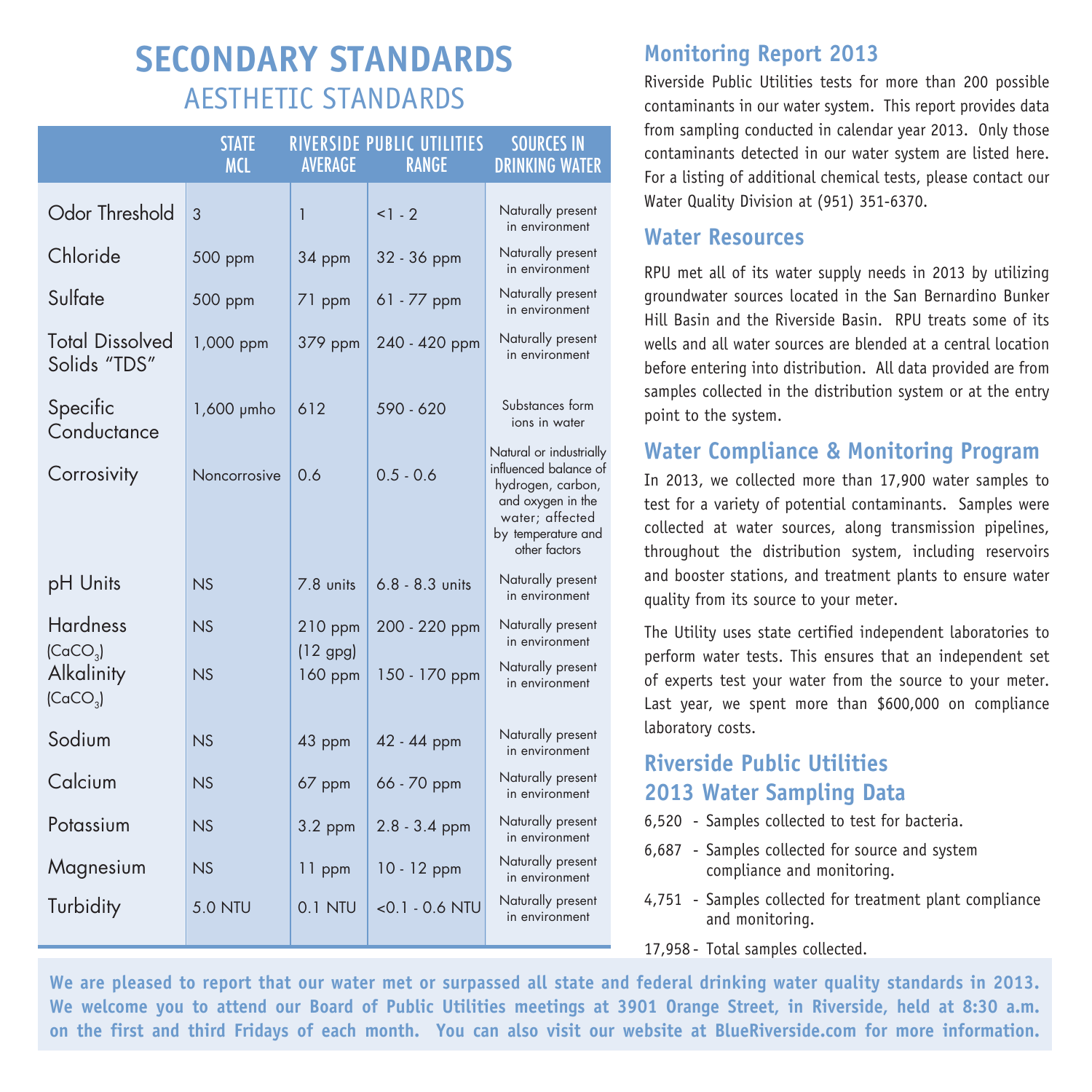## **SECONDARY STANDARDS** AESTHETIC STANDARDS

|                                                            | <b>STATE</b><br><b>MCL</b> | <b>AVERAGE</b>        | RIVERSIDE PUBLIC UTILITIES<br><b>RANGE</b> | <b>SOURCES IN</b><br><b>DRINKING WATER</b>                                                                                                           |
|------------------------------------------------------------|----------------------------|-----------------------|--------------------------------------------|------------------------------------------------------------------------------------------------------------------------------------------------------|
| Odor Threshold                                             | 3                          | 1                     | $1 - 2$                                    | Naturally present<br>in environment                                                                                                                  |
| Chloride                                                   | 500 ppm                    | 34 ppm                | 32 - 36 ppm                                | Naturally present<br>in environment                                                                                                                  |
| Sulfate                                                    | 500 ppm                    | 71 ppm                | $61 - 77$ ppm                              | Naturally present<br>in environment                                                                                                                  |
| <b>Total Dissolved</b><br>Solids "TDS"                     | 1,000 ppm                  | 379 ppm               | 240 - 420 ppm                              | Naturally present<br>in environment                                                                                                                  |
| Specific<br>Conductance                                    | $1,600$ $\mu$ mho          | 612                   | 590 - 620                                  | Substances form<br>ions in water                                                                                                                     |
| Corrosivity                                                | Noncorrosive               | 0.6                   | $0.5 - 0.6$                                | Natural or industrially<br>influenced balance of<br>hydrogen, carbon,<br>and oxygen in the<br>water; affected<br>by temperature and<br>other factors |
| pH Units                                                   | NS                         | 7.8 units             | $6.8 - 8.3$ units                          | Naturally present<br>in environment                                                                                                                  |
| <b>Hardness</b>                                            | NS                         | $210$ ppm             | 200 - 220 ppm                              | Naturally present<br>in environment                                                                                                                  |
| (CaCO <sub>3</sub> )<br>Alkalinity<br>(CaCO <sub>3</sub> ) | NS                         | $(12$ gpg)<br>160 ppm | 150 - 170 ppm                              | Naturally present<br>in environment                                                                                                                  |
| Sodium                                                     | NS                         | 43 ppm                | 42 - 44 ppm                                | Naturally present<br>in environment                                                                                                                  |
| Calcium                                                    | NS                         | 67 ppm                | 66 - 70 ppm                                | Naturally present<br>in environment                                                                                                                  |
| Potassium                                                  | NS                         | $3.2$ ppm             | $2.8 - 3.4$ ppm                            | Naturally present<br>in environment                                                                                                                  |
| Magnesium                                                  | NS                         | 11 ppm                | $10 - 12$ ppm                              | Naturally present<br>in environment                                                                                                                  |
| Turbidity                                                  | <b>5.0 NTU</b>             | 0.1 NTU               | $<$ 0.1 $-$ 0.6 NTU                        | Naturally present<br>in environment                                                                                                                  |

#### **Monitoring Report 2013**

Riverside Public Utilities tests for more than 200 possible contaminants in our water system. This report provides data from sampling conducted in calendar year 2013. Only those contaminants detected in our water system are listed here. For a listing of additional chemical tests, please contact our Water Quality Division at (951) 351-6370.

#### **Water Resources**

RPU met all of its water supply needs in 2013 by utilizing groundwater sources located in the San Bernardino Bunker Hill Basin and the Riverside Basin. RPU treats some of its wells and all water sources are blended at a central location before entering into distribution. All data provided are from samples collected in the distribution system or at the entry point to the system.

#### **Water Compliance & Monitoring Program**

In 2013, we collected more than 17,900 water samples to test for a variety of potential contaminants. Samples were collected at water sources, along transmission pipelines, throughout the distribution system, including reservoirs and booster stations, and treatment plants to ensure water quality from its source to your meter.

The Utility uses state certified independent laboratories to perform water tests. This ensures that an independent set of experts test your water from the source to your meter. Last year, we spent more than \$600,000 on compliance laboratory costs.

#### **Riverside Public Utilities 2013 Water Sampling Data**

- 6,520 Samples collected to test for bacteria.
- 6,687 Samples collected for source and system compliance and monitoring.
- 4,751 Samples collected for treatment plant compliance and monitoring.
- 17,958 Total samples collected.

**We are pleased to report that our water met or surpassed all state and federal drinking water quality standards in 2013. We welcome you to attend our Board of Public Utilities meetings at 3901 Orange Street, in Riverside, held at 8:30 a.m. on the first and third Fridays of each month. You can also visit our website at BlueRiverside.com for more information.**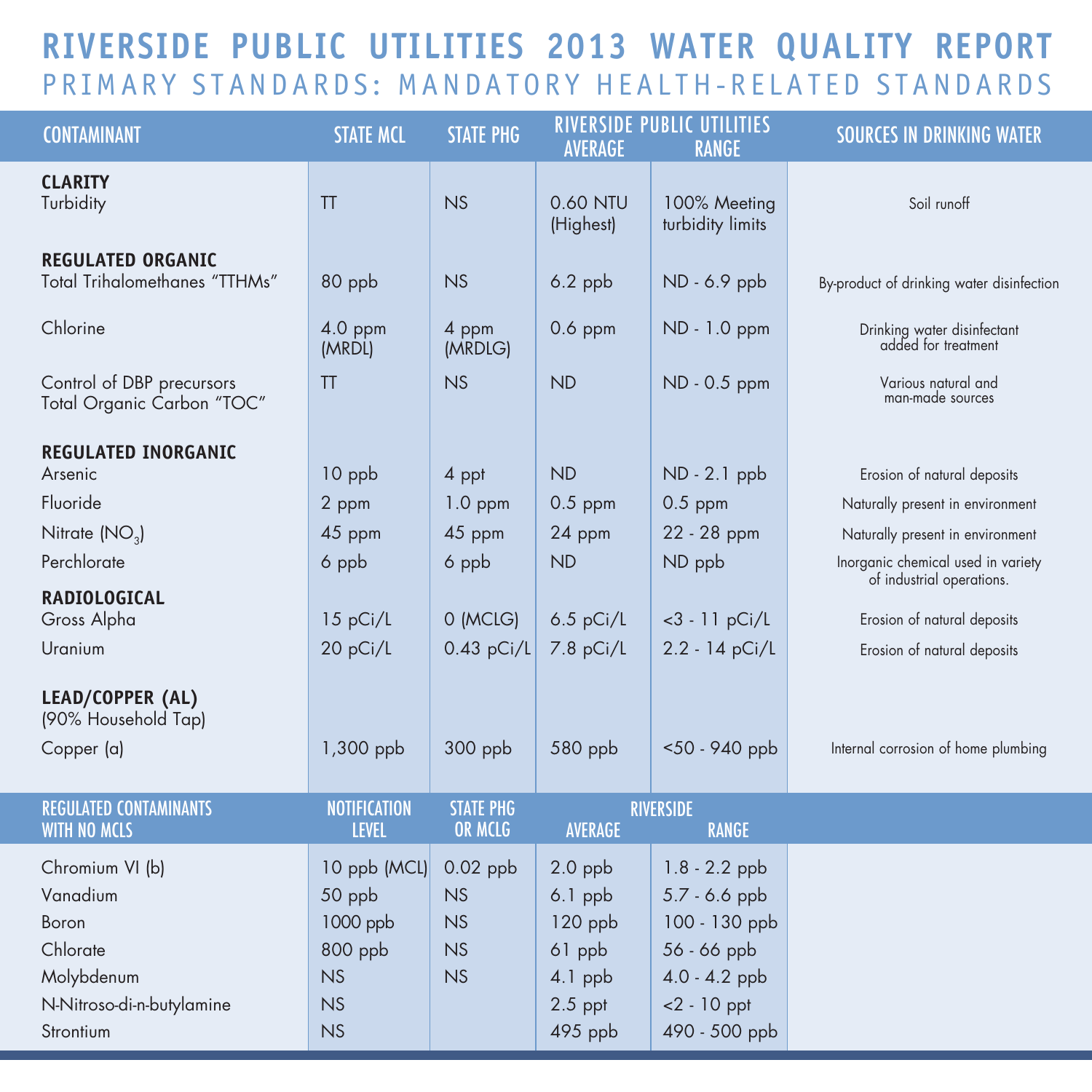## **RIVERSIDE PUBLIC UTILITIES 2013 WATER QUALITY REPORT** PRIMARY STANDARDS: MANDATORY HEALTH-RELATED STANDARDS

| <b>CONTAMINANT</b>                                                                                       | <b>STATE MCL</b>                                                       | <b>STATE PHG</b>                          | <b>AVERAGE</b>                                                                     | <b>RIVERSIDE PUBLIC UTILITIES</b><br><b>RANGE</b>                                                                      | <b>SOURCES IN DRINKING WATER</b>                         |
|----------------------------------------------------------------------------------------------------------|------------------------------------------------------------------------|-------------------------------------------|------------------------------------------------------------------------------------|------------------------------------------------------------------------------------------------------------------------|----------------------------------------------------------|
| <b>CLARITY</b><br>Turbidity                                                                              | <b>TT</b>                                                              | NS                                        | 0.60 NTU<br>(Highest)                                                              | 100% Meeting<br>turbidity limits                                                                                       | Soil runoff                                              |
| <b>REGULATED ORGANIC</b><br>Total Trihalomethanes "TTHMs"                                                | 80 ppb                                                                 | NS                                        | $6.2$ ppb                                                                          | ND - 6.9 ppb                                                                                                           | By-product of drinking water disinfection                |
| Chlorine                                                                                                 | 4.0 ppm<br>(MRDL)                                                      | 4 ppm<br>(MRDLG)                          | $0.6$ ppm                                                                          | ND - 1.0 ppm                                                                                                           | Drinking water disinfectant<br>added for treatment       |
| Control of DBP precursors<br>Total Organic Carbon "TOC"                                                  | TT                                                                     | NS                                        | <b>ND</b>                                                                          | ND - 0.5 ppm                                                                                                           | Various natural and<br>man-made sources                  |
| <b>REGULATED INORGANIC</b><br>Arsenic                                                                    | 10 ppb                                                                 | 4 ppt                                     | <b>ND</b>                                                                          | ND - 2.1 ppb                                                                                                           | Erosion of natural deposits                              |
| Fluoride                                                                                                 | 2 ppm                                                                  | $1.0$ ppm                                 | $0.5$ ppm                                                                          | $0.5$ ppm                                                                                                              | Naturally present in environment                         |
| Nitrate (NO <sub>3</sub> )                                                                               | 45 ppm                                                                 | 45 ppm                                    | 24 ppm                                                                             | 22 - 28 ppm                                                                                                            | Naturally present in environment                         |
| Perchlorate                                                                                              | 6 ppb                                                                  | 6 ppb                                     | <b>ND</b>                                                                          | ND ppb                                                                                                                 | Inorganic chemical used in variety                       |
| <b>RADIOLOGICAL</b><br>Gross Alpha                                                                       | 15 pCi/L                                                               | 0 (MCLG)                                  | $6.5$ pCi/L                                                                        | $<3 - 11 pCi/L$                                                                                                        | of industrial operations.<br>Erosion of natural deposits |
| Uranium                                                                                                  | 20 pCi/L                                                               | $0.43$ pCi/L                              | 7.8 pCi/L                                                                          | 2.2 - 14 pCi/L                                                                                                         | Erosion of natural deposits                              |
| LEAD/COPPER (AL)<br>(90% Household Tap)                                                                  |                                                                        |                                           |                                                                                    |                                                                                                                        |                                                          |
| Copper (a)                                                                                               | 1,300 ppb                                                              | 300 ppb                                   | 580 ppb                                                                            | <50 - 940 ppb                                                                                                          | Internal corrosion of home plumbing                      |
| <b>REGULATED CONTAMINANTS</b><br><b>WITH NO MCLS</b>                                                     | <b>NOTIFICATION</b><br><b>LEVEL</b>                                    | <b>STATE PHG</b><br>OR MCLG               | <b>AVERAGE</b>                                                                     | <b>RIVERSIDE</b><br><b>RANGE</b>                                                                                       |                                                          |
| Chromium VI (b)<br>Vanadium<br>Boron<br>Chlorate<br>Molybdenum<br>N-Nitroso-di-n-butylamine<br>Strontium | 10 ppb (MCL)<br>50 ppb<br>1000 ppb<br>800 ppb<br><b>NS</b><br>NS<br>NS | $0.02$ ppb<br><b>NS</b><br>NS<br>NS<br>NS | $2.0$ ppb<br>$6.1$ ppb<br>$120$ ppb<br>61 ppb<br>$4.1$ ppb<br>$2.5$ ppt<br>495 ppb | $1.8 - 2.2$ ppb<br>5.7 - 6.6 ppb<br>100 - 130 ppb<br>56 - 66 ppb<br>$4.0 - 4.2$ ppb<br>$<$ 2 - 10 ppt<br>490 - 500 ppb |                                                          |